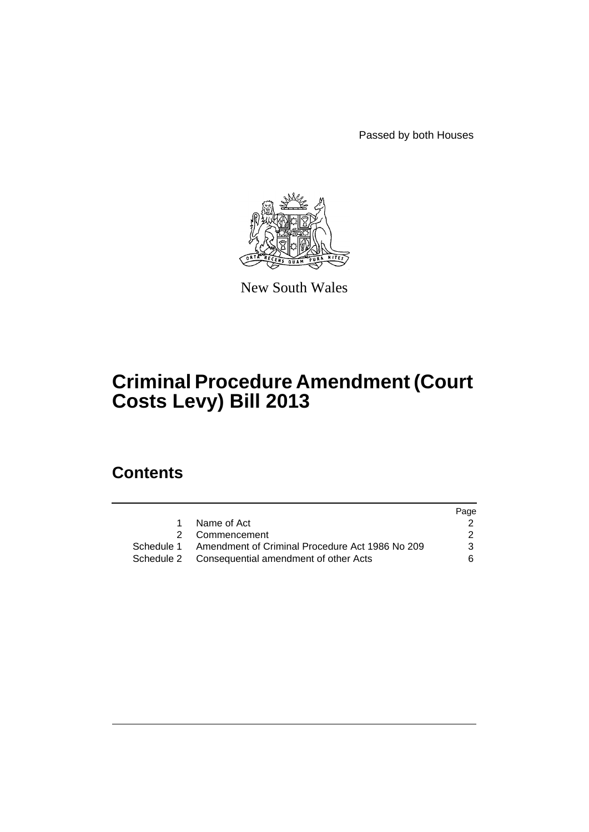Passed by both Houses



New South Wales

# **Criminal Procedure Amendment (Court Costs Levy) Bill 2013**

## **Contents**

|            |                                                  | Page |
|------------|--------------------------------------------------|------|
| $1 \quad$  | Name of Act                                      |      |
|            | 2 Commencement                                   |      |
| Schedule 1 | Amendment of Criminal Procedure Act 1986 No 209  | 3    |
|            | Schedule 2 Consequential amendment of other Acts | 6.   |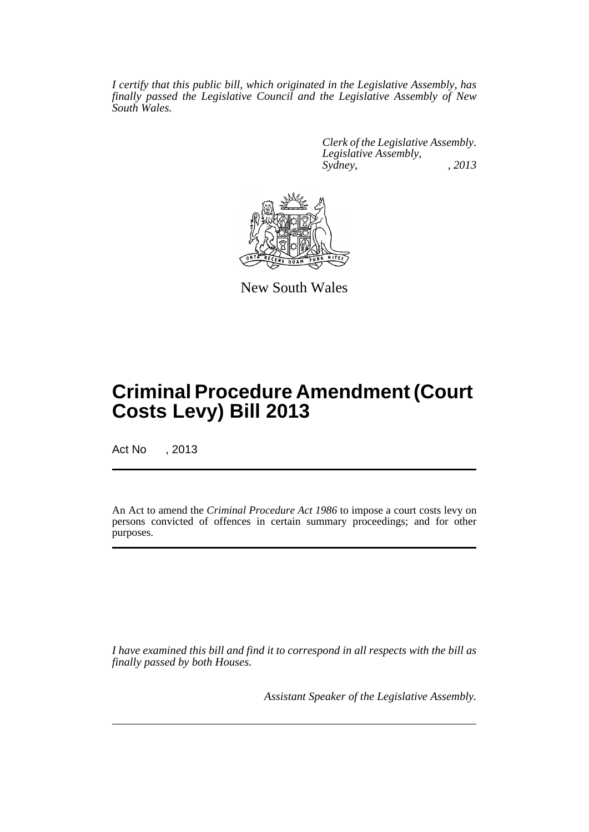*I certify that this public bill, which originated in the Legislative Assembly, has finally passed the Legislative Council and the Legislative Assembly of New South Wales.*

> *Clerk of the Legislative Assembly. Legislative Assembly, Sydney, , 2013*



New South Wales

## **Criminal Procedure Amendment (Court Costs Levy) Bill 2013**

Act No , 2013

An Act to amend the *Criminal Procedure Act 1986* to impose a court costs levy on persons convicted of offences in certain summary proceedings; and for other purposes.

*I have examined this bill and find it to correspond in all respects with the bill as finally passed by both Houses.*

*Assistant Speaker of the Legislative Assembly.*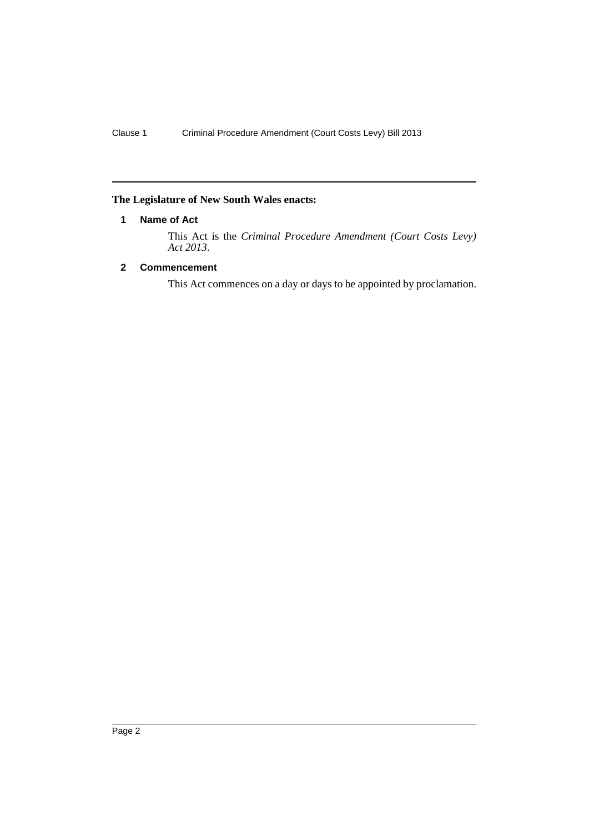## <span id="page-3-0"></span>**The Legislature of New South Wales enacts:**

### **1 Name of Act**

This Act is the *Criminal Procedure Amendment (Court Costs Levy) Act 2013*.

### <span id="page-3-1"></span>**2 Commencement**

This Act commences on a day or days to be appointed by proclamation.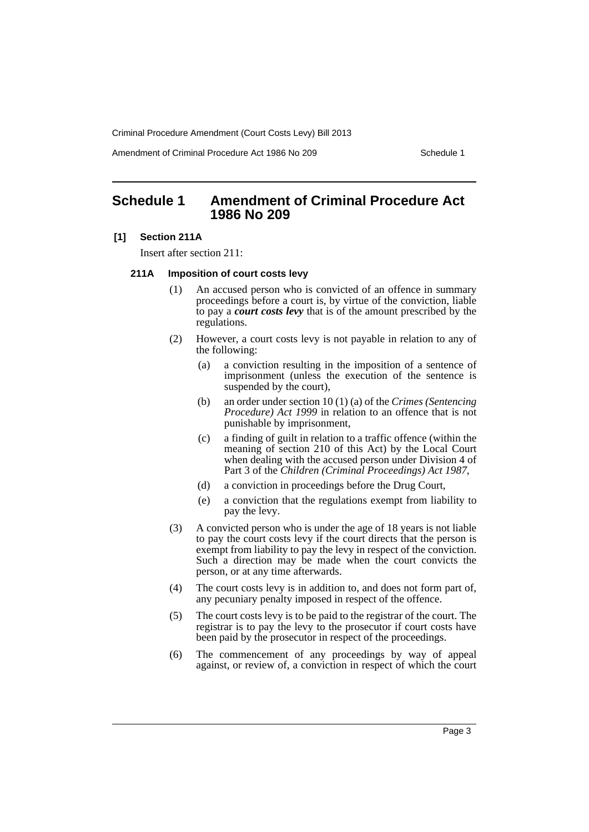Amendment of Criminal Procedure Act 1986 No 209 Schedule 1

## <span id="page-4-0"></span>**Schedule 1 Amendment of Criminal Procedure Act 1986 No 209**

#### **[1] Section 211A**

Insert after section 211:

#### **211A Imposition of court costs levy**

- (1) An accused person who is convicted of an offence in summary proceedings before a court is, by virtue of the conviction, liable to pay a *court costs levy* that is of the amount prescribed by the regulations.
- (2) However, a court costs levy is not payable in relation to any of the following:
	- (a) a conviction resulting in the imposition of a sentence of imprisonment (unless the execution of the sentence is suspended by the court),
	- (b) an order under section 10 (1) (a) of the *Crimes (Sentencing Procedure) Act 1999* in relation to an offence that is not punishable by imprisonment,
	- (c) a finding of guilt in relation to a traffic offence (within the meaning of section 210 of this Act) by the Local Court when dealing with the accused person under Division 4 of Part 3 of the *Children (Criminal Proceedings) Act 1987*,
	- (d) a conviction in proceedings before the Drug Court,
	- (e) a conviction that the regulations exempt from liability to pay the levy.
- (3) A convicted person who is under the age of 18 years is not liable to pay the court costs levy if the court directs that the person is exempt from liability to pay the levy in respect of the conviction. Such a direction may be made when the court convicts the person, or at any time afterwards.
- (4) The court costs levy is in addition to, and does not form part of, any pecuniary penalty imposed in respect of the offence.
- (5) The court costs levy is to be paid to the registrar of the court. The registrar is to pay the levy to the prosecutor if court costs have been paid by the prosecutor in respect of the proceedings.
- (6) The commencement of any proceedings by way of appeal against, or review of, a conviction in respect of which the court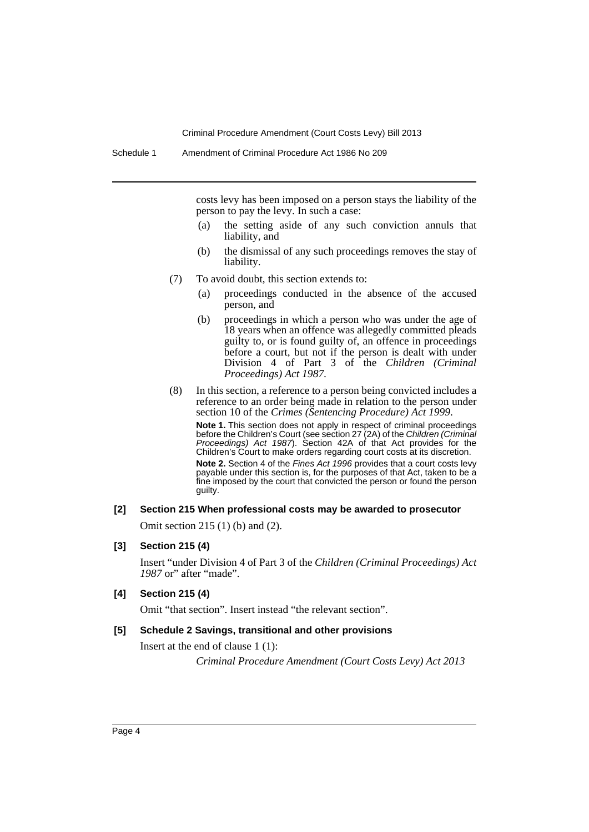costs levy has been imposed on a person stays the liability of the person to pay the levy. In such a case:

- (a) the setting aside of any such conviction annuls that liability, and
- (b) the dismissal of any such proceedings removes the stay of liability.
- (7) To avoid doubt, this section extends to:
	- (a) proceedings conducted in the absence of the accused person, and
	- (b) proceedings in which a person who was under the age of 18 years when an offence was allegedly committed pleads guilty to, or is found guilty of, an offence in proceedings before a court, but not if the person is dealt with under Division 4 of Part 3 of the *Children (Criminal Proceedings) Act 1987*.
- (8) In this section, a reference to a person being convicted includes a reference to an order being made in relation to the person under section 10 of the *Crimes (Sentencing Procedure) Act 1999*.

**Note 1.** This section does not apply in respect of criminal proceedings before the Children's Court (see section 27 (2A) of the *Children (Criminal Proceedings) Act 1987*). Section 42A of that Act provides for the Children's Court to make orders regarding court costs at its discretion.

**Note 2.** Section 4 of the *Fines Act 1996* provides that a court costs levy payable under this section is, for the purposes of that Act, taken to be a fine imposed by the court that convicted the person or found the person guilty.

#### **[2] Section 215 When professional costs may be awarded to prosecutor**

Omit section 215 (1) (b) and (2).

#### **[3] Section 215 (4)**

Insert "under Division 4 of Part 3 of the *Children (Criminal Proceedings) Act 1987* or" after "made".

#### **[4] Section 215 (4)**

Omit "that section". Insert instead "the relevant section".

#### **[5] Schedule 2 Savings, transitional and other provisions**

Insert at the end of clause 1 (1):

*Criminal Procedure Amendment (Court Costs Levy) Act 2013*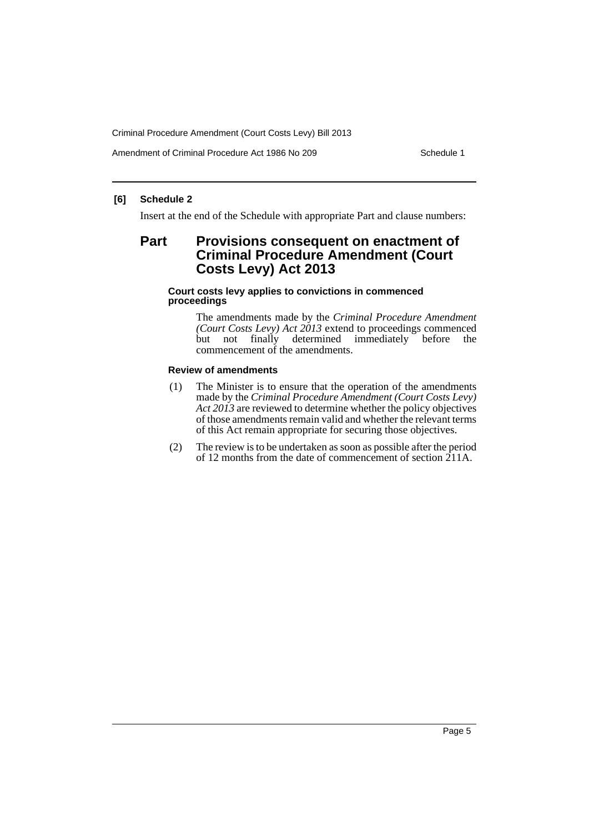Amendment of Criminal Procedure Act 1986 No 209 Schedule 1

#### **[6] Schedule 2**

Insert at the end of the Schedule with appropriate Part and clause numbers:

## **Part Provisions consequent on enactment of Criminal Procedure Amendment (Court Costs Levy) Act 2013**

#### **Court costs levy applies to convictions in commenced proceedings**

The amendments made by the *Criminal Procedure Amendment (Court Costs Levy) Act 2013* extend to proceedings commenced but not finally determined immediately before the commencement of the amendments.

#### **Review of amendments**

- (1) The Minister is to ensure that the operation of the amendments made by the *Criminal Procedure Amendment (Court Costs Levy) Act 2013* are reviewed to determine whether the policy objectives of those amendments remain valid and whether the relevant terms of this Act remain appropriate for securing those objectives.
- (2) The review is to be undertaken as soon as possible after the period of 12 months from the date of commencement of section 211A.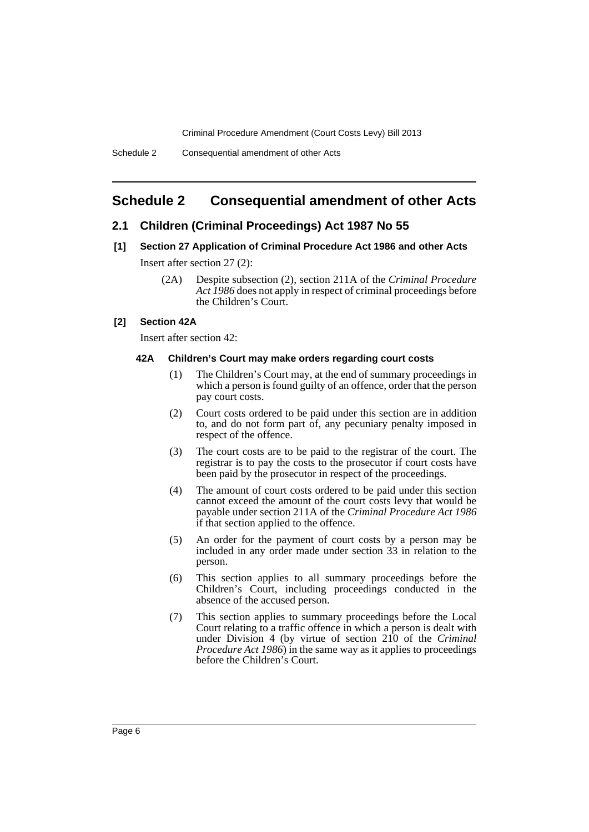## <span id="page-7-0"></span>**Schedule 2 Consequential amendment of other Acts**

#### **2.1 Children (Criminal Proceedings) Act 1987 No 55**

- **[1] Section 27 Application of Criminal Procedure Act 1986 and other Acts**  Insert after section 27 (2):
	- (2A) Despite subsection (2), section 211A of the *Criminal Procedure Act 1986* does not apply in respect of criminal proceedings before the Children's Court.

#### **[2] Section 42A**

Insert after section 42:

#### **42A Children's Court may make orders regarding court costs**

- (1) The Children's Court may, at the end of summary proceedings in which a person is found guilty of an offence, order that the person pay court costs.
- (2) Court costs ordered to be paid under this section are in addition to, and do not form part of, any pecuniary penalty imposed in respect of the offence.
- (3) The court costs are to be paid to the registrar of the court. The registrar is to pay the costs to the prosecutor if court costs have been paid by the prosecutor in respect of the proceedings.
- (4) The amount of court costs ordered to be paid under this section cannot exceed the amount of the court costs levy that would be payable under section 211A of the *Criminal Procedure Act 1986* if that section applied to the offence.
- (5) An order for the payment of court costs by a person may be included in any order made under section 33 in relation to the person.
- (6) This section applies to all summary proceedings before the Children's Court, including proceedings conducted in the absence of the accused person.
- (7) This section applies to summary proceedings before the Local Court relating to a traffic offence in which a person is dealt with under Division 4 (by virtue of section 210 of the *Criminal Procedure Act 1986*) in the same way as it applies to proceedings before the Children's Court.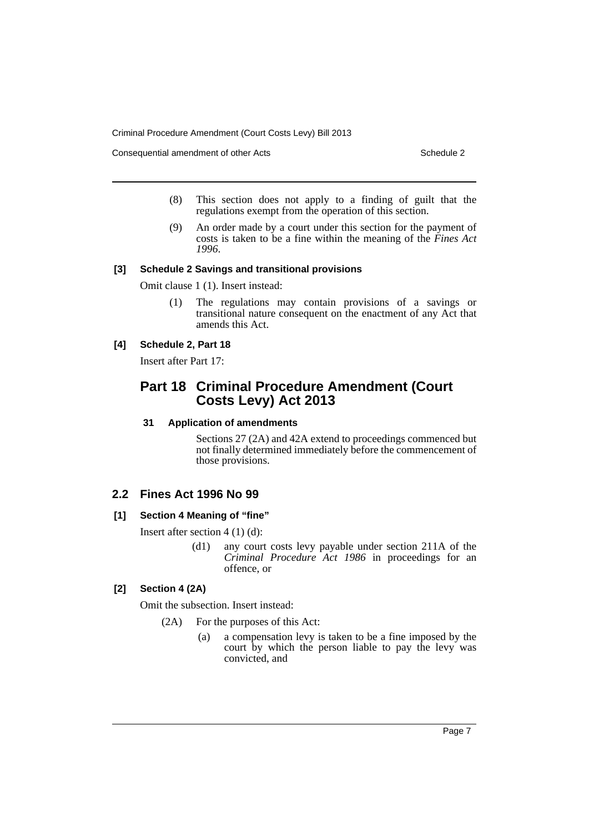Consequential amendment of other Acts Schedule 2

- (8) This section does not apply to a finding of guilt that the regulations exempt from the operation of this section.
- (9) An order made by a court under this section for the payment of costs is taken to be a fine within the meaning of the *Fines Act 1996*.

#### **[3] Schedule 2 Savings and transitional provisions**

Omit clause 1 (1). Insert instead:

(1) The regulations may contain provisions of a savings or transitional nature consequent on the enactment of any Act that amends this Act.

## **[4] Schedule 2, Part 18**

Insert after Part 17:

## **Part 18 Criminal Procedure Amendment (Court Costs Levy) Act 2013**

#### **31 Application of amendments**

Sections 27 (2A) and 42A extend to proceedings commenced but not finally determined immediately before the commencement of those provisions.

#### **2.2 Fines Act 1996 No 99**

#### **[1] Section 4 Meaning of "fine"**

Insert after section  $4(1)(d)$ :

(d1) any court costs levy payable under section 211A of the *Criminal Procedure Act 1986* in proceedings for an offence, or

## **[2] Section 4 (2A)**

Omit the subsection. Insert instead:

(2A) For the purposes of this Act:

(a) a compensation levy is taken to be a fine imposed by the court by which the person liable to pay the levy was convicted, and